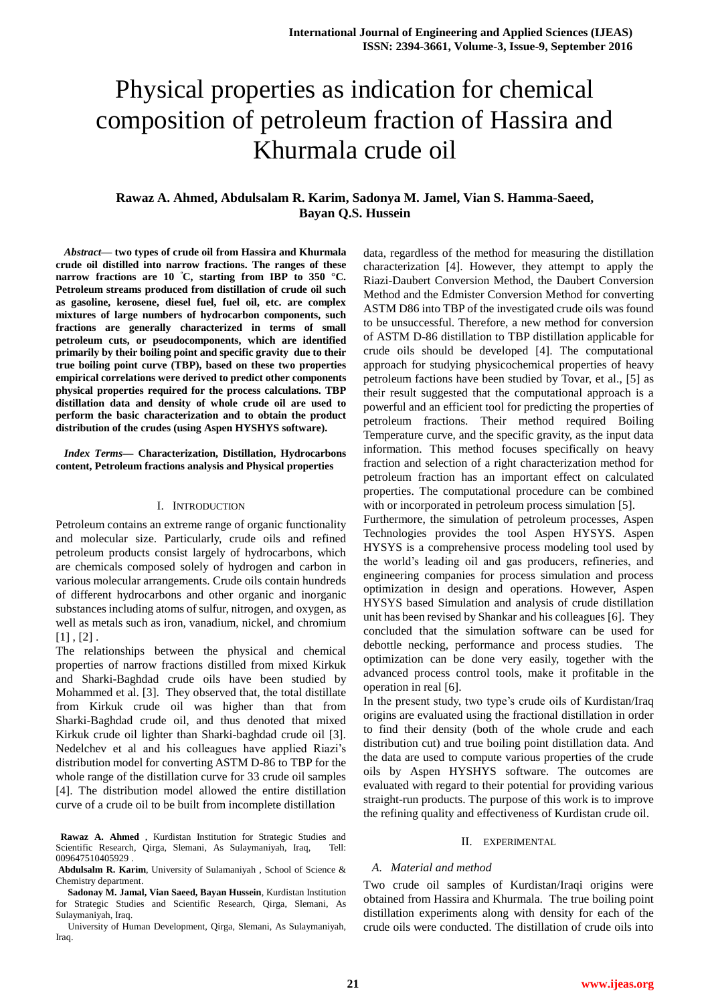# Physical properties as indication for chemical composition of petroleum fraction of Hassira and Khurmala crude oil

# **Rawaz A. Ahmed, Abdulsalam R. Karim, Sadonya M. Jamel, Vian S. Hamma-Saeed, Bayan Q.S. Hussein**

*Abstract***— two types of crude oil from Hassira and Khurmala crude oil distilled into narrow fractions. The ranges of these narrow fractions are 10 °C, starting from IBP to 350 °C. Petroleum streams produced from distillation of crude oil such as gasoline, kerosene, diesel fuel, fuel oil, etc. are complex mixtures of large numbers of hydrocarbon components, such fractions are generally characterized in terms of small petroleum cuts, or pseudocomponents, which are identified primarily by their boiling point and specific gravity due to their true boiling point curve (TBP), based on these two properties empirical correlations were derived to predict other components physical properties required for the process calculations. TBP distillation data and density of whole crude oil are used to perform the basic characterization and to obtain the product distribution of the crudes (using Aspen HYSHYS software).**

*Index Terms***— Characterization, Distillation, Hydrocarbons content, Petroleum fractions analysis and Physical properties**

## I. INTRODUCTION

Petroleum contains an extreme range of organic functionality and molecular size. Particularly, crude oils and refined petroleum products consist largely of hydrocarbons, which are chemicals composed solely of hydrogen and carbon in various molecular arrangements. Crude oils contain hundreds of different hydrocarbons and other organic and inorganic substances including atoms of sulfur, nitrogen, and oxygen, as well as metals such as iron, vanadium, nickel, and chromium  $[1]$ ,  $[2]$ .

The relationships between the physical and chemical properties of narrow fractions distilled from mixed Kirkuk and Sharki-Baghdad crude oils have been studied by Mohammed et al. [3]. They observed that, the total distillate from Kirkuk crude oil was higher than that from Sharki-Baghdad crude oil, and thus denoted that mixed Kirkuk crude oil lighter than Sharki-baghdad crude oil [3]. Nedelchev et al and his colleagues have applied Riazi's distribution model for converting ASTM D-86 to TBP for the whole range of the distillation curve for 33 crude oil samples [4]. The distribution model allowed the entire distillation curve of a crude oil to be built from incomplete distillation

**Rawaz A. Ahmed** , Kurdistan Institution for Strategic Studies and Scientific Research, Qirga, Slemani, As Sulaymaniyah, Iraq, Tell: 009647510405929 .

**Abdulsalm R. Karim**, University of Sulamaniyah , School of Science & Chemistry department.

**Sadonay M. Jamal, Vian Saeed, Bayan Hussein**, Kurdistan Institution for Strategic Studies and Scientific Research, Qirga, Slemani, As Sulaymaniyah, Iraq.

University of Human Development, [Qirga, Slemani, As Sulaymaniyah,](https://www.bing.com/maps/default.aspx?v=2&pc=FACEBK&mid=8100&where1=Qirga%2C+Slemani%2C+As+Sulaymaniyah%2C+Iraq&FORM=FBKPL0&name=Kurdistan+Institution+for+Strategic+Studies+and+Scientific+Research&mkt=en-GB)  [Iraq.](https://www.bing.com/maps/default.aspx?v=2&pc=FACEBK&mid=8100&where1=Qirga%2C+Slemani%2C+As+Sulaymaniyah%2C+Iraq&FORM=FBKPL0&name=Kurdistan+Institution+for+Strategic+Studies+and+Scientific+Research&mkt=en-GB)

data, regardless of the method for measuring the distillation characterization [4]. However, they attempt to apply the Riazi-Daubert Conversion Method, the Daubert Conversion Method and the Edmister Conversion Method for converting ASTM D86 into TBP of the investigated crude oils was found to be unsuccessful. Therefore, a new method for conversion of ASTM D-86 distillation to TBP distillation applicable for crude oils should be developed [4]. The computational approach for studying physicochemical properties of heavy petroleum factions have been studied by Tovar, et al., [5] as their result suggested that the computational approach is a powerful and an efficient tool for predicting the properties of petroleum fractions. Their method required Boiling Temperature curve, and the specific gravity, as the input data information. This method focuses specifically on heavy fraction and selection of a right characterization method for petroleum fraction has an important effect on calculated properties. The computational procedure can be combined with or incorporated in petroleum process simulation [5].

Furthermore, the simulation of petroleum processes, Aspen Technologies provides the tool Aspen HYSYS. Aspen HYSYS is a comprehensive process modeling tool used by the world's leading oil and gas producers, refineries, and engineering companies for process simulation and process optimization in design and operations. However, Aspen HYSYS based Simulation and analysis of crude distillation unit has been revised by Shankar and his colleagues [6]. They concluded that the simulation software can be used for debottle necking, performance and process studies. The optimization can be done very easily, together with the advanced process control tools, make it profitable in the operation in real [6].

In the present study, two type's crude oils of Kurdistan/Iraq origins are evaluated using the fractional distillation in order to find their density (both of the whole crude and each distribution cut) and true boiling point distillation data. And the data are used to compute various properties of the crude oils by Aspen HYSHYS software. The outcomes are evaluated with regard to their potential for providing various straight-run products. The purpose of this work is to improve the refining quality and effectiveness of Kurdistan crude oil.

#### II. EXPERIMENTAL

#### *A. Material and method*

Two crude oil samples of Kurdistan/Iraqi origins were obtained from Hassira and Khurmala. The true boiling point distillation experiments along with density for each of the crude oils were conducted. The distillation of crude oils into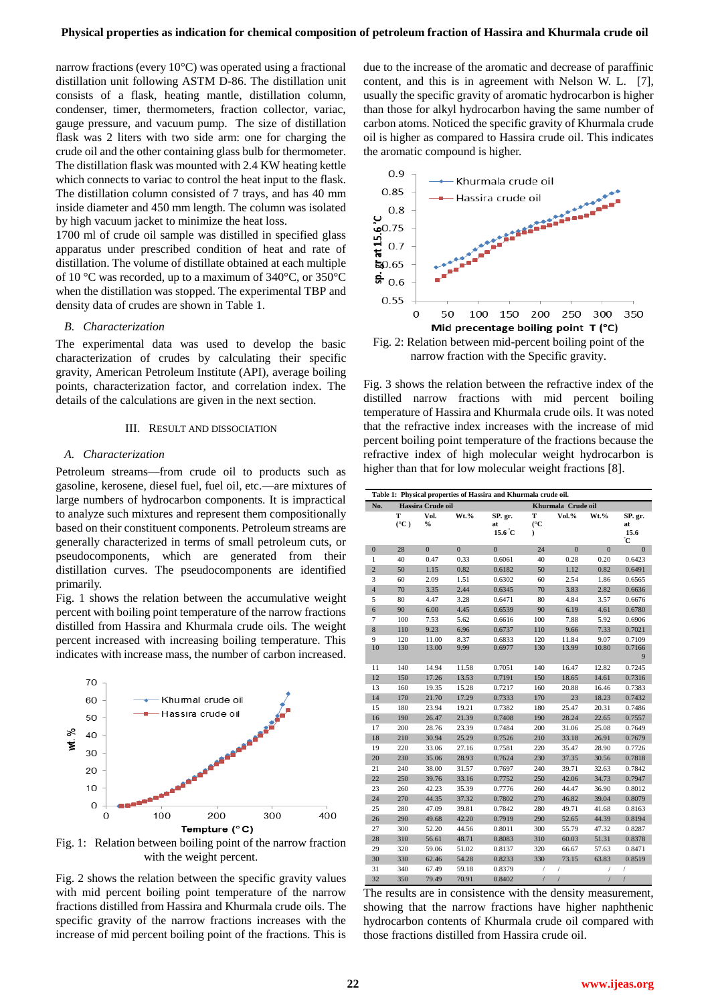narrow fractions (every 10°C) was operated using a fractional distillation unit following ASTM D-86. The distillation unit consists of a flask, heating mantle, distillation column, condenser, timer, thermometers, fraction collector, variac, gauge pressure, and vacuum pump. The size of distillation flask was 2 liters with two side arm: one for charging the crude oil and the other containing glass bulb for thermometer. The distillation flask was mounted with 2.4 KW heating kettle which connects to variac to control the heat input to the flask. The distillation column consisted of 7 trays, and has 40 mm inside diameter and 450 mm length. The column was isolated by high vacuum jacket to minimize the heat loss.

1700 ml of crude oil sample was distilled in specified glass apparatus under prescribed condition of heat and rate of distillation. The volume of distillate obtained at each multiple of 10 °C was recorded, up to a maximum of 340°C, or 350°C when the distillation was stopped. The experimental TBP and density data of crudes are shown in Table 1.

#### *B. Characterization*

The experimental data was used to develop the basic characterization of crudes by calculating their specific gravity, American Petroleum Institute (API), average boiling points, characterization factor, and correlation index. The details of the calculations are given in the next section.

#### III. RESULT AND DISSOCIATION

#### *A. Characterization*

Petroleum streams—from crude oil to products such as gasoline, kerosene, diesel fuel, fuel oil, etc.—are mixtures of large numbers of hydrocarbon components. It is impractical to analyze such mixtures and represent them compositionally based on their constituent components. Petroleum streams are generally characterized in terms of small petroleum cuts, or pseudocomponents, which are generated from their distillation curves. The pseudocomponents are identified primarily.

Fig. 1 shows the relation between the accumulative weight percent with boiling point temperature of the narrow fractions distilled from Hassira and Khurmala crude oils. The weight percent increased with increasing boiling temperature. This indicates with increase mass, the number of carbon increased.



Fig. 1: Relation between boiling point of the narrow fraction with the weight percent.

Fig. 2 shows the relation between the specific gravity values with mid percent boiling point temperature of the narrow fractions distilled from Hassira and Khurmala crude oils. The specific gravity of the narrow fractions increases with the increase of mid percent boiling point of the fractions. This is

due to the increase of the aromatic and decrease of paraffinic content, and this is in agreement with Nelson W. L. [7], usually the specific gravity of aromatic hydrocarbon is higher than those for alkyl hydrocarbon having the same number of carbon atoms. Noticed the specific gravity of Khurmala crude oil is higher as compared to Hassira crude oil. This indicates the aromatic compound is higher.



narrow fraction with the Specific gravity.

Fig. 3 shows the relation between the refractive index of the distilled narrow fractions with mid percent boiling temperature of Hassira and Khurmala crude oils. It was noted that the refractive index increases with the increase of mid percent boiling point temperature of the fractions because the refractive index of high molecular weight hydrocarbon is higher than that for low molecular weight fractions [8].

| Table 1: Physical properties of Hassira and Khurmala crude oil. |                    |                |              |                                  |                                |                |               |                             |
|-----------------------------------------------------------------|--------------------|----------------|--------------|----------------------------------|--------------------------------|----------------|---------------|-----------------------------|
| No.                                                             | Hassira Crude oil  |                |              |                                  | Khurmala Crude oil             |                |               |                             |
|                                                                 | т<br>$(^{\circ}C)$ | Vol.<br>$\%$   | Wt.%         | SP. gr.<br>at<br>$15.6\degree C$ | т<br>$(^{\circ}C$<br>$\lambda$ | Vol.%          | Wt.%          | SP. gr.<br>at<br>15.6<br>°C |
| $\boldsymbol{0}$                                                | 28                 | $\mathbf{0}$   | $\mathbf{0}$ | $\mathbf{0}$                     | 24                             | $\mathbf{0}$   | $\mathbf{0}$  | $\overline{0}$              |
| $\mathbf{1}$                                                    | 40                 | 0.47           | 0.33         | 0.6061                           | 40                             | 0.28           | 0.20          | 0.6423                      |
| $\overline{c}$                                                  | 50                 | 1.15           | 0.82         | 0.6182                           | 50                             | 1.12           | 0.82          | 0.6491                      |
| 3                                                               | 60                 | 2.09           | 1.51         | 0.6302                           | 60                             | 2.54           | 1.86          | 0.6565                      |
| $\overline{4}$                                                  | 70                 | 3.35           | 2.44         | 0.6345                           | 70                             | 3.83           | 2.82          | 0.6636                      |
| 5                                                               | 80                 | 4.47           | 3.28         | 0.6471                           | 80                             | 4.84           | 3.57          | 0.6676                      |
| 6                                                               | 90                 | 6.00           | 4.45         | 0.6539                           | 90                             | 6.19           | 4.61          | 0.6780                      |
| 7                                                               | 100                | 7.53           | 5.62         | 0.6616                           | 100                            | 7.88           | 5.92          | 0.6906                      |
| 8                                                               | 110                | 9.23           | 6.96         | 0.6737                           | 110                            | 9.66           | 7.33          | 0.7021                      |
| 9<br>10                                                         | 120<br>130         | 11.00<br>13.00 | 8.37<br>9.99 | 0.6833<br>0.6977                 | 120<br>130                     | 11.84<br>13.99 | 9.07<br>10.80 | 0.7109<br>0.7166<br>9       |
| 11                                                              | 140                | 14.94          | 11.58        | 0.7051                           | 140                            | 16.47          | 12.82         | 0.7245                      |
| 12                                                              | 150                | 17.26          | 13.53        | 0.7191                           | 150                            | 18.65          | 14.61         | 0.7316                      |
| 13                                                              | 160                | 19.35          | 15.28        | 0.7217                           | 160                            | 20.88          | 16.46         | 0.7383                      |
| 14                                                              | 170                | 21.70          | 17.29        | 0.7333                           | 170                            | 23             | 18.23         | 0.7432                      |
| 15                                                              | 180                | 23.94          | 19.21        | 0.7382                           | 180                            | 25.47          | 20.31         | 0.7486                      |
| 16                                                              | 190                | 26.47          | 21.39        | 0.7408                           | 190                            | 28.24          | 22.65         | 0.7557                      |
| 17                                                              | 200                | 28.76          | 23.39        | 0.7484                           | 200                            | 31.06          | 25.08         | 0.7649                      |
| 18                                                              | 210                | 30.94          | 25.29        | 0.7526                           | 210                            | 33.18          | 26.91         | 0.7679                      |
| 19                                                              | 220                | 33.06          | 27.16        | 0.7581                           | 220                            | 35.47          | 28.90         | 0.7726                      |
| 20                                                              | 230                | 35.06          | 28.93        | 0.7624                           | 230                            | 37.35          | 30.56         | 0.7818                      |
| 21                                                              | 240                | 38.00          | 31.57        | 0.7697                           | 240                            | 39.71          | 32.63         | 0.7842                      |
| 22                                                              | 250                | 39.76          | 33.16        | 0.7752                           | 250                            | 42.06          | 34.73         | 0.7947                      |
| 23                                                              | 260                | 42.23          | 35.39        | 0.7776                           | 260                            | 44.47          | 36.90         | 0.8012                      |
| 24                                                              | 270                | 44.35          | 37.32        | 0.7802                           | 270                            | 46.82          | 39.04         | 0.8079                      |
| 25                                                              | 280                | 47.09          | 39.81        | 0.7842                           | 280                            | 49.71          | 41.68         | 0.8163                      |
| 26                                                              | 290                | 49.68          | 42.20        | 0.7919                           | 290                            | 52.65          | 44.39         | 0.8194                      |
| 27                                                              | 300                | 52.20          | 44.56        | 0.8011                           | 300                            | 55.79          | 47.32         | 0.8287                      |
| 28                                                              | 310                | 56.61          | 48.71        | 0.8083                           | 310                            | 60.03          | 51.31         | 0.8378                      |
| 29                                                              | 320                | 59.06          | 51.02        | 0.8137                           | 320                            | 66.67          | 57.63         | 0.8471                      |
| 30                                                              | 330                | 62.46          | 54.28        | 0.8233                           | 330                            | 73.15          | 63.83         | 0.8519                      |
| 31                                                              | 340                | 67.49          | 59.18        | 0.8379                           | 1                              | $\sqrt{ }$     |               | 7                           |
| 32                                                              | 350                | 79.49          | 70.91        | 0.8402                           | $\sqrt{2}$                     | $\sqrt{ }$     | $\prime$      | $\sqrt{2}$                  |

The results are in consistence with the density measurement, showing that the narrow fractions have higher naphthenic hydrocarbon contents of Khurmala crude oil compared with those fractions distilled from Hassira crude oil.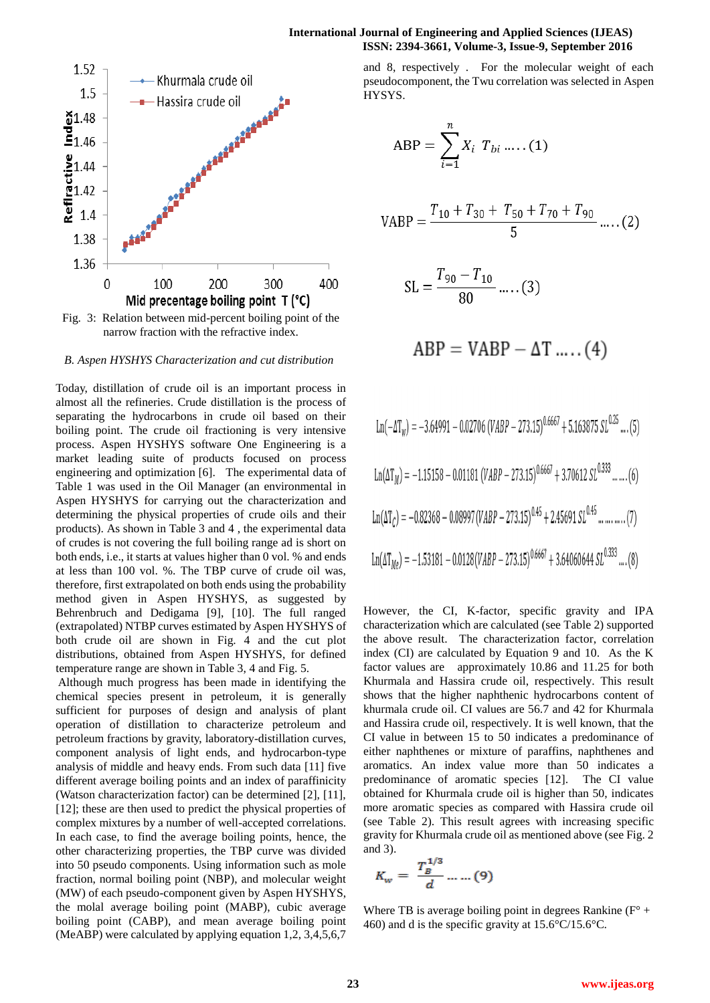

Fig. 3: Relation between mid-percent boiling point of the narrow fraction with the refractive index.

#### *B. Aspen HYSHYS Characterization and cut distribution*

Today, distillation of crude oil is an important process in almost all the refineries. Crude distillation is the process of separating the hydrocarbons in crude oil based on their boiling point. The crude oil fractioning is very intensive process. Aspen HYSHYS software One Engineering is a market leading suite of products focused on process engineering and optimization [6]. The experimental data of Table 1 was used in the Oil Manager (an environmental in Aspen HYSHYS for carrying out the characterization and determining the physical properties of crude oils and their products). As shown in Table 3 and 4 , the experimental data of crudes is not covering the full boiling range ad is short on both ends, i.e., it starts at values higher than 0 vol. % and ends at less than 100 vol. %. The TBP curve of crude oil was, therefore, first extrapolated on both ends using the probability method given in Aspen HYSHYS, as suggested by Behrenbruch and Dedigama [9], [10]. The full ranged (extrapolated) NTBP curves estimated by Aspen HYSHYS of both crude oil are shown in Fig. 4 and the cut plot distributions, obtained from Aspen HYSHYS, for defined temperature range are shown in Table 3, 4 and Fig. 5.

Although much progress has been made in identifying the chemical species present in petroleum, it is generally sufficient for purposes of design and analysis of plant operation of distillation to characterize petroleum and petroleum fractions by gravity, laboratory-distillation curves, component analysis of light ends, and hydrocarbon-type analysis of middle and heavy ends. From such data [11] five different average boiling points and an index of paraffinicity (Watson characterization factor) can be determined [2], [11], [12]; these are then used to predict the physical properties of complex mixtures by a number of well-accepted correlations. In each case, to find the average boiling points, hence, the other characterizing properties, the TBP curve was divided into 50 pseudo components. Using information such as mole fraction, normal boiling point (NBP), and molecular weight (MW) of each pseudo-component given by Aspen HYSHYS, the molal average boiling point (MABP), cubic average boiling point (CABP), and mean average boiling point (MeABP) were calculated by applying equation 1,2, 3,4,5,6,7

## **International Journal of Engineering and Applied Sciences (IJEAS) ISSN: 2394-3661, Volume-3, Issue-9, September 2016**

and 8, respectively . For the molecular weight of each pseudocomponent, the Twu correlation was selected in Aspen HYSYS.

$$
ABP = \sum_{i=1}^{n} X_i \ T_{bi} \dots (1)
$$

$$
VABP = \frac{T_{10} + T_{30} + T_{50} + T_{70} + T_{90}}{5} \dots (2)
$$

$$
SL = \frac{T_{90} - T_{10}}{80} \dots (3)
$$

$$
ABP = VABP - \Delta T ....(4)
$$

Ln(-ΔT<sub>w</sub>) = -3.64991 - 0.02706 (VABP – 273.15)<sup>0.6667</sup> + 5.163875 
$$
SL^{0.25}
$$
 .... (5)  
\nLn(ΔT<sub>M</sub>) = -1.15158 - 0.01181 (VABP – 273.15)<sup>0.6667</sup> + 3.70612  $SL^{0.333}$  .......(6)  
\nLn(ΔT<sub>C</sub>) = -0.82368 - 0.08997 (VABP – 273.15)<sup>0.45</sup> + 2.45691  $SL^{0.45}$  .........(7)  
\nLn(ΔT<sub>M<sub>e</sub></sub>) = -1.53181 - 0.0128(VABP – 273.15)<sup>0.6667</sup> + 3.64060644  $SL^{0.333}$  ....(8)

However, the CI, K-factor, specific gravity and IPA characterization which are calculated (see Table 2) supported the above result. The characterization factor, correlation index (CI) are calculated by Equation 9 and 10. As the K factor values are approximately 10.86 and 11.25 for both Khurmala and Hassira crude oil, respectively. This result shows that the higher naphthenic hydrocarbons content of khurmala crude oil. CI values are 56.7 and 42 for Khurmala and Hassira crude oil, respectively. It is well known, that the CI value in between 15 to 50 indicates a predominance of either naphthenes or mixture of paraffins, naphthenes and aromatics. An index value more than 50 indicates a predominance of aromatic species [12]. The CI value obtained for Khurmala crude oil is higher than 50, indicates more aromatic species as compared with Hassira crude oil (see Table 2). This result agrees with increasing specific gravity for Khurmala crude oil as mentioned above (see Fig. 2 and 3).

$$
K_w = \frac{T_B^{1/3}}{d} \dots \dots (9)
$$

Where TB is average boiling point in degrees Rankine  $(F^{\circ} +$ 460) and d is the specific gravity at 15.6°C/15.6°C.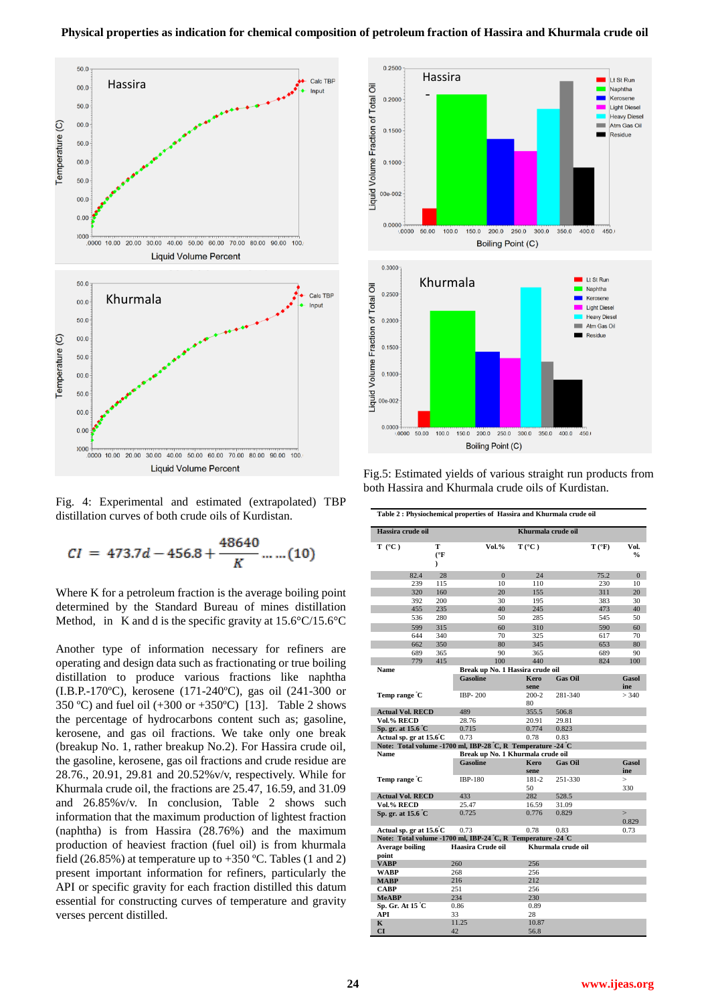

Fig. 4: Experimental and estimated (extrapolated) TBP distillation curves of both crude oils of Kurdistan.

$$
CI = 473.7d - 456.8 + \frac{48640}{K} \dots \dots (10)
$$

Where K for a petroleum fraction is the average boiling point determined by the Standard Bureau of mines distillation Method, in K and d is the specific gravity at  $15.6^{\circ}$ C/15.6<sup>°</sup>C

Another type of information necessary for refiners are operating and design data such as fractionating or true boiling distillation to produce various fractions like naphtha (I.B.P.-170ºC), kerosene (171-240ºC), gas oil (241-300 or 350 °C) and fuel oil  $(+300 \text{ or } +350 \text{°C})$  [13]. Table 2 shows the percentage of hydrocarbons content such as; gasoline, kerosene, and gas oil fractions. We take only one break (breakup No. 1, rather breakup No.2). For Hassira crude oil, the gasoline, kerosene, gas oil fractions and crude residue are 28.76., 20.91, 29.81 and 20.52%v/v, respectively. While for Khurmala crude oil, the fractions are 25.47, 16.59, and 31.09 and 26.85%v/v. In conclusion, Table 2 shows such information that the maximum production of lightest fraction (naphtha) is from Hassira (28.76%) and the maximum production of heaviest fraction (fuel oil) is from khurmala field (26.85%) at temperature up to  $+350$  °C. Tables (1 and 2) present important information for refiners, particularly the API or specific gravity for each fraction distilled this datum essential for constructing curves of temperature and gravity verses percent distilled.



Fig.5: Estimated yields of various straight run products from both Hassira and Khurmala crude oils of Kurdistan.

| Hassira crude oil                 |            |               | Khurmala crude oil                                           |                     |                    |                |               |  |
|-----------------------------------|------------|---------------|--------------------------------------------------------------|---------------------|--------------------|----------------|---------------|--|
| $T (^{\circ}C)$                   |            | T             | Vol.%                                                        | $T(^{\circ}C)$      |                    | $T(^{\circ}F)$ | Vol.          |  |
|                                   |            | $(^{\circ}$ F |                                                              |                     |                    |                | $\frac{6}{9}$ |  |
|                                   |            | $\lambda$     |                                                              |                     |                    |                |               |  |
|                                   | 82.4       | 28            | $\overline{0}$                                               | 24                  |                    | 75.2           | $\mathbf{0}$  |  |
|                                   | 239        | 115           | 10                                                           | 110                 |                    | 230            | 10            |  |
|                                   | 320        | 160<br>200    | 20<br>30                                                     | 155<br>195          |                    | 311<br>383     | 20<br>30      |  |
|                                   | 392<br>455 | 235           | 40                                                           | 245                 |                    | 473            | 40            |  |
|                                   | 536        |               | 50                                                           |                     |                    | 545            | 50            |  |
|                                   |            | 280           |                                                              | 285                 |                    |                |               |  |
|                                   | 599        | 315           | 60                                                           | 310                 |                    | 590            | 60            |  |
|                                   | 644        | 340           | 70                                                           | 325                 |                    | 617            | 70            |  |
|                                   | 662        | 350           | 80                                                           | 345                 |                    | 653            | 80            |  |
|                                   | 689        | 365           | 90                                                           | 365                 |                    | 689            | 90            |  |
|                                   | 779        | 415           | 100                                                          | 440                 |                    | 824            | 100           |  |
| <b>Name</b>                       |            |               | Break up No. 1 Hassira crude oil                             |                     |                    |                |               |  |
|                                   |            |               | <b>Gasoline</b>                                              | <b>Kero</b><br>sene | <b>Gas Oil</b>     |                | Gasol<br>ine  |  |
| Temp range C                      |            |               | <b>IBP-200</b>                                               | $200 - 2$           | 281-340            |                | > 340         |  |
|                                   |            |               |                                                              | 80                  |                    |                |               |  |
| <b>Actual Vol. RECD</b>           |            | 489           | 355.5                                                        | 506.8               |                    |                |               |  |
| Vol.% RECD                        |            | 28.76         | 20.91                                                        | 29.81               |                    |                |               |  |
| Sp. gr. at 15.6 °C                |            |               | 0.715                                                        | 0.774               | 0.823              |                |               |  |
| Actual sp. gr at $15.6^{\circ}$ C |            |               | 0.73                                                         | 0.78                | 0.83               |                |               |  |
|                                   |            |               | Note: Total volume -1700 ml, IBP-28 °C, R Temperature -24 °C |                     |                    |                |               |  |
| <b>Name</b>                       |            |               | Break up No. 1 Khurmala crude oil                            |                     |                    |                |               |  |
|                                   |            |               | <b>Gasoline</b>                                              | <b>Kero</b>         | <b>Gas Oil</b>     |                | Gasol         |  |
|                                   |            |               |                                                              | sene                |                    |                | ine           |  |
| Temp range C                      |            |               | <b>IBP-180</b>                                               | 181-2               | 251-330            |                | $\geq$        |  |
|                                   |            |               |                                                              | 50                  |                    |                | 330           |  |
| <b>Actual Vol. RECD</b>           |            |               | 433                                                          | 282                 | 528.5              |                |               |  |
| <b>Vol.% RECD</b>                 |            |               | 25.47                                                        | 16.59               | 31.09              |                |               |  |
| Sp. gr. at $15.6^{\circ}$ C       |            |               | 0.725                                                        | 0.776               | 0.829              |                | $\geq$        |  |
|                                   |            |               |                                                              |                     |                    |                | 0.829         |  |
| Actual sp. gr at $15.6^{\circ}$ C |            |               | 0.73                                                         | 0.78                | 0.83               |                | 0.73          |  |
|                                   |            |               | Note: Total volume -1700 ml, IBP-24 °C, R Temperature -24 °C |                     |                    |                |               |  |
| Average boiling                   |            |               | Haasira Crude oil                                            |                     | Khurmala crude oil |                |               |  |
| point                             |            |               |                                                              |                     |                    |                |               |  |
| <b>VABP</b>                       |            |               | 260                                                          | 256                 |                    |                |               |  |
| <b>WABP</b>                       |            |               | 268                                                          | 256                 |                    |                |               |  |
| <b>MABP</b>                       |            |               | 216                                                          | 212                 |                    |                |               |  |
| <b>CABP</b>                       |            |               | 251                                                          | 256                 |                    |                |               |  |
| <b>MeABP</b>                      |            |               | 234                                                          | 230                 |                    |                |               |  |
| Sp. Gr. At 15 °C                  |            |               | 0.86                                                         | 0.89                |                    |                |               |  |
| API                               |            |               | 33                                                           | 28                  |                    |                |               |  |
| K                                 |            |               | 11.25                                                        | 10.87               |                    |                |               |  |
| <b>CI</b>                         |            |               | 42                                                           | 56.8                |                    |                |               |  |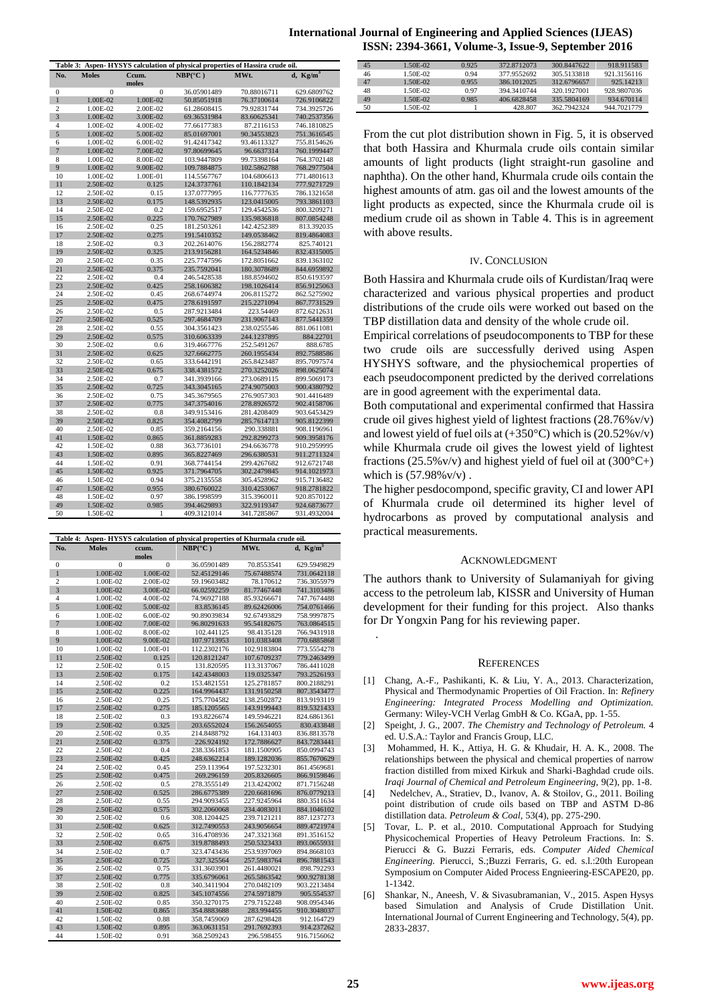| Table 3: Aspen-HYSYS calculation of physical properties of Hassira crude oil. |              |          |                  |             |             |  |  |  |
|-------------------------------------------------------------------------------|--------------|----------|------------------|-------------|-------------|--|--|--|
| No.                                                                           | <b>Moles</b> | Ccum.    | $NBP(^{\circ}C)$ | MWt.        | d, $Kg/m^3$ |  |  |  |
|                                                                               |              | moles    |                  |             |             |  |  |  |
| 0                                                                             | $\mathbf{0}$ | $\Omega$ | 36.05901489      | 70.88016711 | 629.6809762 |  |  |  |
| $\mathbf{1}$                                                                  | 1.00E-02     | 1.00E-02 | 50.85051918      | 76.37100614 | 726.9106822 |  |  |  |
| $\overline{c}$                                                                | 1.00E-02     | 2.00E-02 | 61.28608415      | 79.92831744 | 734.3925726 |  |  |  |
| $\overline{3}$                                                                | 1.00E-02     | 3.00E-02 | 69.36531984      | 83.60625341 | 740.2537356 |  |  |  |
| $\overline{4}$                                                                | 1.00E-02     | 4.00E-02 | 77.66177383      | 87.2116153  | 746.1810825 |  |  |  |
| 5                                                                             | 1.00E-02     | 5.00E-02 | 85.01697001      | 90.34553823 | 751.3616545 |  |  |  |
| 6                                                                             | 1.00E-02     | 6.00E-02 | 91.42417342      | 93.46113327 | 755.8154626 |  |  |  |
| $\overline{7}$                                                                | 1.00E-02     | 7.00E-02 | 97.80699645      | 96.6637314  | 760.1999447 |  |  |  |
| 8                                                                             | 1.00E-02     | 8.00E-02 | 103.9447809      | 99.73398164 | 764.3702148 |  |  |  |
| 9                                                                             | 1.00E-02     | 9.00E-02 | 109.7884875      | 102.5862788 | 768.2977504 |  |  |  |
| 10                                                                            | 1.00E-02     | 1.00E-01 | 114.5567767      | 104.6806613 | 771.4801613 |  |  |  |
| 11                                                                            | 2.50E-02     | 0.125    | 124.3737761      | 110.1842134 | 777.9271729 |  |  |  |
| 12                                                                            | 2.50E-02     | 0.15     | 137.0777995      | 116.7777635 | 786.1321658 |  |  |  |
| 13                                                                            | 2.50E-02     | 0.175    | 148.5392935      | 123.0415005 | 793.3861103 |  |  |  |
| 14                                                                            | 2.50E-02     | 0.2      | 159.6952517      | 129.4542536 | 800.3209271 |  |  |  |
| 15                                                                            | 2.50E-02     | 0.225    | 170.7627989      | 135.9836818 | 807.0854248 |  |  |  |
| 16                                                                            | 2.50E-02     | 0.25     | 181.2503261      | 142.4252389 | 813.392035  |  |  |  |
| 17                                                                            | 2.50E-02     | 0.275    | 191.5410352      | 149.0538462 | 819.4864083 |  |  |  |
| 18                                                                            | 2.50E-02     | 0.3      | 202.2614076      | 156.2882774 | 825.740121  |  |  |  |
| 19                                                                            | 2.50E-02     | 0.325    | 213.9156281      | 164.5234846 | 832.4315005 |  |  |  |
| 20                                                                            | 2.50E-02     | 0.35     | 225.7747596      | 172.8051662 | 839.1363102 |  |  |  |
| 21                                                                            | 2.50E-02     | 0.375    | 235.7592041      | 180.3078689 | 844.6959892 |  |  |  |
| 22                                                                            | 2.50E-02     | 0.4      | 246.5428538      | 188.8594602 | 850.6193597 |  |  |  |
| 23                                                                            | 2.50E-02     | 0.425    | 258.1606382      | 198.1026414 | 856.9125063 |  |  |  |
| 24                                                                            | 2.50E-02     | 0.45     | 268.6744974      | 206.8115272 | 862.5275902 |  |  |  |
| 25                                                                            | 2.50E-02     | 0.475    | 278.6191597      | 215.2271094 | 867.7731529 |  |  |  |
| 26                                                                            | 2.50E-02     | 0.5      | 287.9213484      | 223.54469   | 872.6212631 |  |  |  |
| 27                                                                            | 2.50E-02     | 0.525    | 297.4684709      | 231.9067143 | 877.5441359 |  |  |  |
| 28                                                                            | 2.50E-02     | 0.55     | 304.3561423      | 238.0255546 | 881.0611081 |  |  |  |
| 29                                                                            | 2.50E-02     | 0.575    | 310.6063339      | 244.1237895 | 884.22701   |  |  |  |
| 30                                                                            | 2.50E-02     | 0.6      | 319.4667776      | 252.5491267 | 888.6785    |  |  |  |
| 31                                                                            | 2.50E-02     | 0.625    | 327.6662775      | 260.1955434 | 892.7588586 |  |  |  |
| 32                                                                            | 2.50E-02     | 0.65     | 333.6442191      | 265.8423487 | 895.7097574 |  |  |  |
| 33                                                                            | 2.50E-02     | 0.675    | 338.4381572      | 270.3252026 | 898.0625074 |  |  |  |
| 34                                                                            | 2.50E-02     | 0.7      | 341.3939166      | 273.0689115 | 899.5069173 |  |  |  |
| 35                                                                            | 2.50E-02     | 0.725    | 343.3045165      | 274.9075003 | 900.4380792 |  |  |  |
| 36                                                                            | 2.50E-02     | 0.75     | 345.3679565      | 276.9057303 | 901.4416489 |  |  |  |
| 37                                                                            | 2.50E-02     | 0.775    | 347.3754016      | 278.8926572 | 902.4158706 |  |  |  |
| 38                                                                            | 2.50E-02     | 0.8      | 349.9153416      | 281.4208409 | 903.6453429 |  |  |  |
| 39                                                                            | 2.50E-02     | 0.825    | 354.4082799      | 285.7614713 | 905.8122399 |  |  |  |
| 40                                                                            | 2.50E-02     | 0.85     | 359.2164156      | 290.338881  | 908.1196961 |  |  |  |
| 41                                                                            | 1.50E-02     | 0.865    | 361.8859283      | 292.8299273 | 909.3958176 |  |  |  |
| 42                                                                            | 1.50E-02     | 0.88     | 363.7736101      | 294.6636778 | 910.2959995 |  |  |  |
| 43                                                                            | 1.50E-02     | 0.895    | 365.8227469      | 296.6380531 | 911.2711324 |  |  |  |
| 44                                                                            | 1.50E-02     | 0.91     | 368.7744154      | 299.4267682 | 912.6721748 |  |  |  |
| 45                                                                            | 1.50E-02     | 0.925    | 371.7964705      | 302.2479845 | 914.1021973 |  |  |  |
| 46                                                                            | 1.50E-02     | 0.94     | 375.2135558      | 305.4528962 | 915.7136482 |  |  |  |
| 47                                                                            | 1.50E-02     | 0.955    | 380.6760022      | 310.4253067 | 918.2781822 |  |  |  |
| 48                                                                            | 1.50E-02     | 0.97     | 386.1998599      | 315.3960011 | 920.8570122 |  |  |  |
| 49                                                                            | 1.50E-02     | 0.985    | 394.4629893      | 322.9119347 | 924.6873677 |  |  |  |
| 50                                                                            | 1.50E-02     | 1        | 409.3121014      | 341.7285867 | 931.4932004 |  |  |  |

| Table 4: Aspen-HYSYS calculation of physical properties of Khurmala crude oil. |                      |                |                            |                            |                            |  |  |
|--------------------------------------------------------------------------------|----------------------|----------------|----------------------------|----------------------------|----------------------------|--|--|
| No.                                                                            | <b>Moles</b>         | ccum.<br>moles | $NBP(^{\circ}C)$           | MWt.                       | d, $Kg/m^3$                |  |  |
| $\bf{0}$                                                                       | $\overline{0}$       | $\overline{0}$ | 36.05901489                | 70.8553541                 | 629.5949829                |  |  |
| $\mathbf{1}$                                                                   | 1.00E-02             | 1.00E-02       | 52.45129146                | 75.67488574                | 731.0642118                |  |  |
| $\overline{c}$                                                                 | 1.00E-02             | 2.00E-02       | 59.19603482                | 78.170612                  | 736.3055979                |  |  |
| $\overline{3}$                                                                 | 1.00E-02             | 3.00E-02       | 66.02592259                | 81.77467448                | 741.3103486                |  |  |
| $\overline{4}$                                                                 | 1.00E-02             | 4.00E-02       | 74.96927188                | 85.93266671                | 747.7674488                |  |  |
| 5                                                                              | 1.00E-02             | 5.00E-02       | 83.8536145                 | 89.62426006                | 754.0761466                |  |  |
| 6                                                                              | 1.00E-02             | $6.00E-02$     | 90.89039834                | 92.67493829                | 758.9997875                |  |  |
| $\overline{7}$                                                                 | 1.00E-02             | 7.00E-02       | 96.80291633                | 95.54182675                | 763.0864515                |  |  |
| 8                                                                              | 1.00E-02             | 8.00E-02       | 102.441125                 | 98.4135128                 | 766.9431918                |  |  |
| 9                                                                              | 1.00E-02             | 9.00E-02       | 107.9713953                | 101.0383408                | 770.6885868                |  |  |
| 10                                                                             | 1.00E-02             | 1.00E-01       | 112.2302176                | 102.9183804                | 773.5554278                |  |  |
| 11                                                                             | 2.50E-02             | 0.125          | 120.8121247                | 107.6709237                | 779.2463499                |  |  |
| 12                                                                             | 2.50E-02             | 0.15           | 131.820595                 | 113.3137067                | 786.4411028                |  |  |
| 13                                                                             | 2.50E-02             | 0.175          | 142.4348003                | 119.0325347                | 793.2526193                |  |  |
| 14                                                                             | 2.50E-02             | 0.2            | 153.4821551                | 125.2781857                | 800.2188291                |  |  |
| 15                                                                             | 2.50E-02             | 0.225          | 164.9964437                | 131.9150258                | 807.3543477                |  |  |
| 16                                                                             | 2.50E-02             | 0.25           | 175.7704582                | 138.2502872                | 813.9193119                |  |  |
| 17                                                                             | 2.50E-02             | 0.275          | 185.1205565                | 143.9199443                | 819.5321433                |  |  |
| 18                                                                             | 2.50E-02             | 0.3            | 193.8226674                | 149.5946221                | 824.6861361                |  |  |
| 19                                                                             | 2.50E-02             | 0.325          | 203.6552024                | 156.2654055                | 830.433848                 |  |  |
| 20                                                                             | 2.50E-02             | 0.35           | 214.8488792                | 164.131403                 | 836.8813578                |  |  |
| 21                                                                             | 2.50E-02             | 0.375          | 226.924192                 | 172.7886627                | 843.7283441                |  |  |
| 22                                                                             | 2.50E-02             | 0.4            | 238.3361853                | 181.1500905                | 850.0994743                |  |  |
| 23                                                                             | 2.50E-02             | 0.425          | 248.6362214                | 189.1282036                | 855.7670629                |  |  |
| 24                                                                             | 2.50E-02             | 0.45           | 259.113964                 | 197.5232301                | 861.4569681                |  |  |
| 25                                                                             | 2.50E-02             | 0.475          | 269.296159                 | 205.8326605                | 866.9159846                |  |  |
| 26<br>27                                                                       | 2.50E-02             | 0.5            | 278.3555149                | 213.4242002                | 871.7156248                |  |  |
|                                                                                | 2.50E-02             | 0.525          | 286.6775389                | 220.6681696                | 876.0779213                |  |  |
| 28<br>29                                                                       | 2.50E-02             | 0.55           | 294.9093455                | 227.9245964                | 880.3511634                |  |  |
| 30                                                                             | 2.50E-02<br>2.50E-02 | 0.575<br>0.6   | 302.2060068                | 234.4083011                | 884.1046102                |  |  |
| 31                                                                             | 2.50E-02             | 0.625          | 308.1204425<br>312.7490553 | 239.7121211<br>243.9056654 | 887.1237273<br>889.4721974 |  |  |
| 32                                                                             | 2.50E-02             | 0.65           | 316.4708936                | 247.3321368                | 891.3516152                |  |  |
| 33                                                                             | 2.50E-02             | 0.675          | 319.8788493                | 250.5323433                | 893.0655931                |  |  |
| 34                                                                             | 2.50E-02             | 0.7            | 323.4743436                | 253.9397069                | 894.8668103                |  |  |
| 35                                                                             | 2.50E-02             | 0.725          | 327.325564                 | 257.5983764                | 896.7881543                |  |  |
| 36                                                                             | 2.50E-02             | 0.75           | 331.3603901                | 261.4480021                | 898.792293                 |  |  |
| 37                                                                             | 2.50E-02             | 0.775          | 335.6796061                | 265.5863542                | 900.9278138                |  |  |
| 38                                                                             | 2.50E-02             | 0.8            | 340.3411904                | 270.0482109                | 903.2213484                |  |  |
| 39                                                                             | 2.50E-02             | 0.825          | 345.1074556                | 274.5971879                | 905.554537                 |  |  |
| 40                                                                             | 2.50E-02             | 0.85           | 350.3270175                | 279.7152248                | 908.0954346                |  |  |
| 41                                                                             | 1.50E-02             | 0.865          | 354.8883688                | 283.994455                 | 910.3048037                |  |  |
| 42                                                                             | 1.50E-02             | 0.88           | 358.7459069                | 287.6298428                | 912.164729                 |  |  |
| 43                                                                             | 1.50E-02             | 0.895          | 363.0631151                | 291.7692393                | 914.237262                 |  |  |
| 44                                                                             | 1.50E-02             | 0.91           | 368.2509243                | 296.598455                 | 916.7156062                |  |  |
|                                                                                |                      |                |                            |                            |                            |  |  |

# **International Journal of Engineering and Applied Sciences (IJEAS) ISSN: 2394-3661, Volume-3, Issue-9, September 2016**

| 45 | 1.50E-02   | 0.925 | 372.8712073 | 300.8447622 | 918.911583  |
|----|------------|-------|-------------|-------------|-------------|
| 46 | 1.50E-02   | 0.94  | 377.9552692 | 305.5133818 | 921.3156116 |
| 47 | $1.50E-02$ | 0.955 | 386.1012025 | 312.6796657 | 925.14213   |
| 48 | 1.50E-02   | 0.97  | 394.3410744 | 320.1927001 | 928.9807036 |
| 49 | $1.50E-02$ | 0.985 | 406.6828458 | 335.5804169 | 934.670114  |
| 50 | 1.50E-02   |       | 428.807     | 362.7942324 | 944.7021779 |

From the cut plot distribution shown in Fig. 5, it is observed that both Hassira and Khurmala crude oils contain similar amounts of light products (light straight-run gasoline and naphtha). On the other hand, Khurmala crude oils contain the highest amounts of atm. gas oil and the lowest amounts of the light products as expected, since the Khurmala crude oil is medium crude oil as shown in Table 4. This is in agreement with above results.

#### IV. CONCLUSION

Both Hassira and Khurmala crude oils of Kurdistan/Iraq were characterized and various physical properties and product distributions of the crude oils were worked out based on the TBP distillation data and density of the whole crude oil.

Empirical correlations of pseudocomponents to TBP for these two crude oils are successfully derived using Aspen HYSHYS software, and the physiochemical properties of each pseudocomponent predicted by the derived correlations are in good agreement with the experimental data.

Both computational and experimental confirmed that Hassira crude oil gives highest yield of lightest fractions (28.76%v/v) and lowest yield of fuel oils at  $(+350^{\circ}C)$  which is  $(20.52\% \text{v/v})$ while Khurmala crude oil gives the lowest yield of lightest fractions (25.5%v/v) and highest yield of fuel oil at  $(300^{\circ}C+)$ which is  $(57.98\% \text{v/v})$ .

The higher pesdocompond, specific gravity, CI and lower API of Khurmala crude oil determined its higher level of hydrocarbons as proved by computational analysis and practical measurements.

# ACKNOWLEDGMENT

The authors thank to University of Sulamaniyah for giving access to the petroleum lab, KISSR and University of Human development for their funding for this project. Also thanks for Dr Yongxin Pang for his reviewing paper.

# **REFERENCES**

- [1] Chang, A.-F., Pashikanti, K. & Liu, Y. A., 2013. Characterization, Physical and Thermodynamic Properties of Oil Fraction. In: *Refinery Engineering: Integrated Process Modelling and Optimization.*  Germany: Wiley-VCH Verlag GmbH & Co. KGaA, pp. 1-55.
- [2] Speight, J. G., 2007. *The Chemistry and Technology of Petroleum.* 4 ed. U.S.A.: Taylor and Francis Group, LLC.
- [3] Mohammed, H. K., Attiya, H. G. & Khudair, H. A. K., 2008. The relationships between the physical and chemical properties of narrow fraction distilled from mixed Kirkuk and Sharki-Baghdad crude oils. *Iraqi Journal of Chemical and Petroleum Engineering,* 9(2), pp. 1-8.
- [4] Nedelchev, A., Stratiev, D., Ivanov, A. & Stoilov, G., 2011. Boiling point distribution of crude oils based on TBP and ASTM D-86 distillation data. *Petroleum & Coal,* 53(4), pp. 275-290.
- [5] Tovar, L. P. et al., 2010. Computational Approach for Studying Physicochemical Properties of Heavy Petroleum Fractions. In: S. Pierucci & G. Buzzi Ferraris, eds. *Computer Aided Chemical Engineering.* Pierucci, S.;Buzzi Ferraris, G. ed. s.l.:20th European Symposium on Computer Aided Process Engnieering-ESCAPE20, pp. 1-1342.
- [6] Shankar, N., Aneesh, V. & Sivasubramanian, V., 2015. Aspen Hysys based Simulation and Analysis of Crude Distillation Unit. International Journal of Current Engineering and Technology, 5(4), pp. 2833-2837.

.